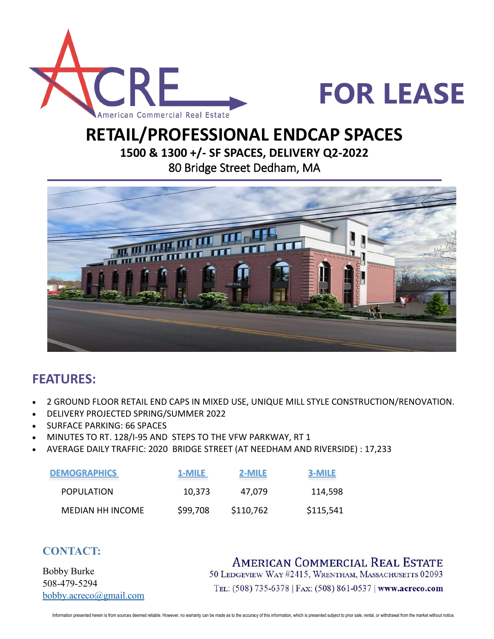



# **RETAIL/PROFESSIONAL ENDCAP SPACES**

**1500 & 1300 +/- SF SPACES, DELIVERY Q2-2022**

80 Bridge Street Dedham, MA



## **FEATURES:**

- 2 GROUND FLOOR RETAIL END CAPS IN MIXED USE, UNIQUE MILL STYLE CONSTRUCTION/RENOVATION.
- DELIVERY PROJECTED SPRING/SUMMER 2022
- SURFACE PARKING: 66 SPACES
- MINUTES TO RT. 128/I-95 AND STEPS TO THE VFW PARKWAY, RT 1
- AVERAGE DAILY TRAFFIC: 2020 BRIDGE STREET (AT NEEDHAM AND RIVERSIDE) : 17,233

| <b>DEMOGRAPHICS</b>     | 1-MILE   | 2-MILE    | 3-MILE    |
|-------------------------|----------|-----------|-----------|
| <b>POPULATION</b>       | 10,373   | 47,079    | 114,598   |
| <b>MEDIAN HH INCOME</b> | \$99,708 | \$110,762 | \$115,541 |

#### **CONTACT:**

**AMERICAN COMMERCIAL REAL ESTATE** Bobby Burke 50 LEDGEVIEW WAY #2415, WRENTHAM, MASSACHUSETTS 02093 508-479-5294 TEL: (508) 735-6378 | FAX: (508) 861-0537 | www.acreco.com [bobby.acreco@gmail.com](mailto:dusty@acreco.com)